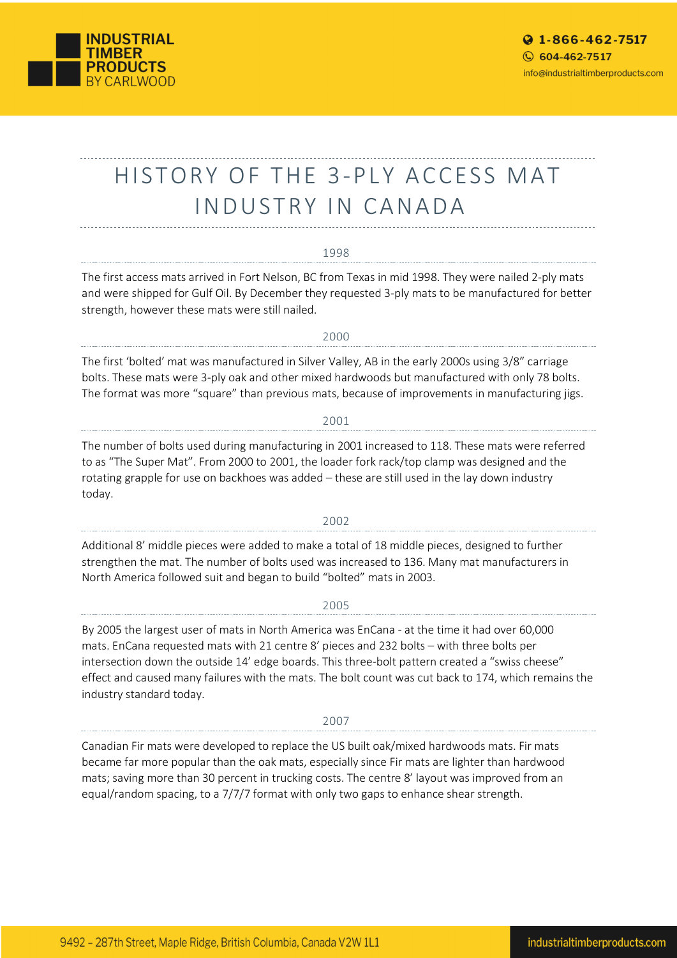

# HISTORY OF THE 3-PLY ACCESS MAT INDUSTRY IN CANADA

## 1998

The first access mats arrived in Fort Nelson, BC from Texas in mid 1998. They were nailed 2-ply mats and were shipped for Gulf Oil. By December they requested 3-ply mats to be manufactured for better strength, however these mats were still nailed.

#### 2000

The first 'bolted' mat was manufactured in Silver Valley, AB in the early 2000s using 3/8" carriage bolts. These mats were 3-ply oak and other mixed hardwoods but manufactured with only 78 bolts. The format was more "square" than previous mats, because of improvements in manufacturing jigs.

# 2001

The number of bolts used during manufacturing in 2001 increased to 118. These mats were referred to as "The Super Mat". From 2000 to 2001, the loader fork rack/top clamp was designed and the rotating grapple for use on backhoes was added – these are still used in the lay down industry today.

# 2002

Additional 8' middle pieces were added to make a total of 18 middle pieces, designed to further strengthen the mat. The number of bolts used was increased to 136. Many mat manufacturers in North America followed suit and began to build "bolted" mats in 2003.

#### 2005

By 2005 the largest user of mats in North America was EnCana - at the time it had over 60,000 mats. EnCana requested mats with 21 centre 8' pieces and 232 bolts – with three bolts per intersection down the outside 14' edge boards. This three-bolt pattern created a "swiss cheese" effect and caused many failures with the mats. The bolt count was cut back to 174, which remains the industry standard today.

## 2007

Canadian Fir mats were developed to replace the US built oak/mixed hardwoods mats. Fir mats became far more popular than the oak mats, especially since Fir mats are lighter than hardwood mats; saving more than 30 percent in trucking costs. The centre 8' layout was improved from an equal/random spacing, to a 7/7/7 format with only two gaps to enhance shear strength.